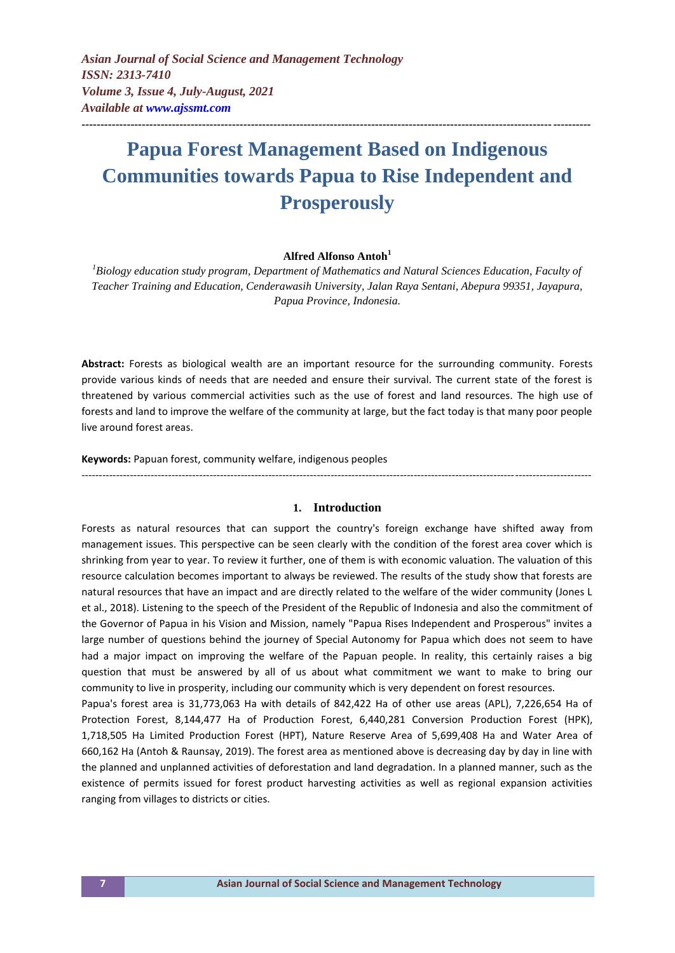*Asian Journal of Social Science and Management Technology ISSN: 2313-7410 Volume 3, Issue 4, July-August, 2021 Available at<www.ajssmt.com>*

# **Papua Forest Management Based on Indigenous Communities towards Papua to Rise Independent and Prosperously**

**---------------------------------------------------------------------------------------------------------------------------------------**

## **Alfred Alfonso Antoh<sup>1</sup>**

*<sup>1</sup>Biology education study program, Department of Mathematics and Natural Sciences Education, Faculty of Teacher Training and Education, Cenderawasih University, Jalan Raya Sentani, Abepura 99351, Jayapura, Papua Province, Indonesia.*

**Abstract:** Forests as biological wealth are an important resource for the surrounding community. Forests provide various kinds of needs that are needed and ensure their survival. The current state of the forest is threatened by various commercial activities such as the use of forest and land resources. The high use of forests and land to improve the welfare of the community at large, but the fact today is that many poor people live around forest areas.

**Keywords:** Papuan forest, community welfare, indigenous peoples

#### **1. Introduction**

---------------------------------------------------------------------------------------------------------------------------------------------------

Forests as natural resources that can support the country's foreign exchange have shifted away from management issues. This perspective can be seen clearly with the condition of the forest area cover which is shrinking from year to year. To review it further, one of them is with economic valuation. The valuation of this resource calculation becomes important to always be reviewed. The results of the study show that forests are natural resources that have an impact and are directly related to the welfare of the wider community (Jones L et al., 2018). Listening to the speech of the President of the Republic of Indonesia and also the commitment of the Governor of Papua in his Vision and Mission, namely "Papua Rises Independent and Prosperous" invites a large number of questions behind the journey of Special Autonomy for Papua which does not seem to have had a major impact on improving the welfare of the Papuan people. In reality, this certainly raises a big question that must be answered by all of us about what commitment we want to make to bring our community to live in prosperity, including our community which is very dependent on forest resources.

Papua's forest area is 31,773,063 Ha with details of 842,422 Ha of other use areas (APL), 7,226,654 Ha of Protection Forest, 8,144,477 Ha of Production Forest, 6,440,281 Conversion Production Forest (HPK), 1,718,505 Ha Limited Production Forest (HPT), Nature Reserve Area of 5,699,408 Ha and Water Area of 660,162 Ha (Antoh & Raunsay, 2019). The forest area as mentioned above is decreasing day by day in line with the planned and unplanned activities of deforestation and land degradation. In a planned manner, such as the existence of permits issued for forest product harvesting activities as well as regional expansion activities ranging from villages to districts or cities.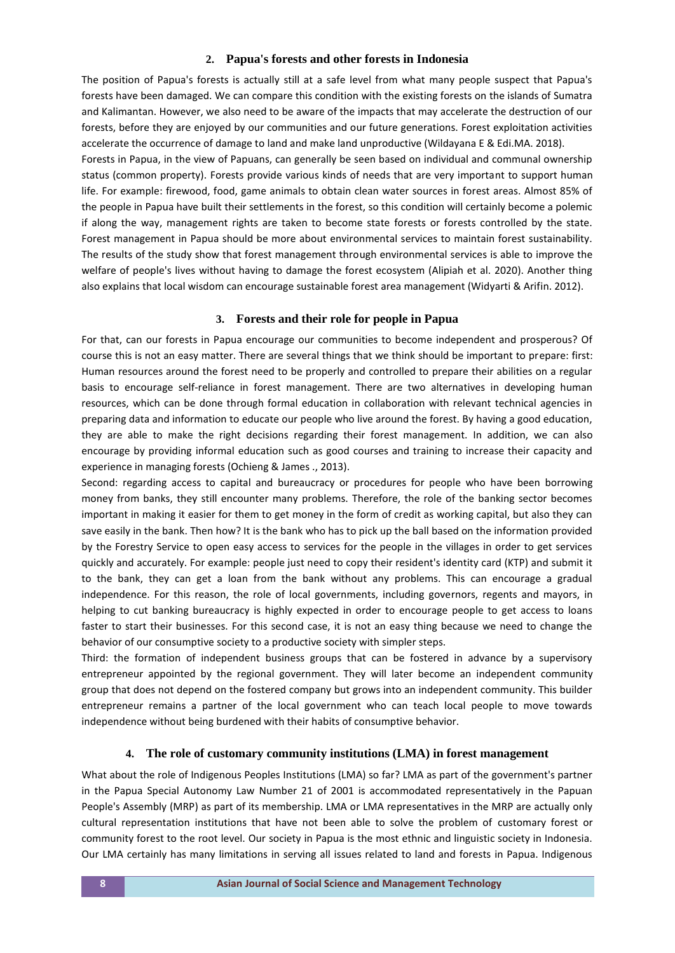## **2. Papua's forests and other forests in Indonesia**

The position of Papua's forests is actually still at a safe level from what many people suspect that Papua's forests have been damaged. We can compare this condition with the existing forests on the islands of Sumatra and Kalimantan. However, we also need to be aware of the impacts that may accelerate the destruction of our forests, before they are enjoyed by our communities and our future generations. Forest exploitation activities accelerate the occurrence of damage to land and make land unproductive (Wildayana E & Edi.MA. 2018).

Forests in Papua, in the view of Papuans, can generally be seen based on individual and communal ownership status (common property). Forests provide various kinds of needs that are very important to support human life. For example: firewood, food, game animals to obtain clean water sources in forest areas. Almost 85% of the people in Papua have built their settlements in the forest, so this condition will certainly become a polemic if along the way, management rights are taken to become state forests or forests controlled by the state. Forest management in Papua should be more about environmental services to maintain forest sustainability. The results of the study show that forest management through environmental services is able to improve the welfare of people's lives without having to damage the forest ecosystem (Alipiah et al. 2020). Another thing also explains that local wisdom can encourage sustainable forest area management (Widyarti & Arifin. 2012).

## **3. Forests and their role for people in Papua**

For that, can our forests in Papua encourage our communities to become independent and prosperous? Of course this is not an easy matter. There are several things that we think should be important to prepare: first: Human resources around the forest need to be properly and controlled to prepare their abilities on a regular basis to encourage self-reliance in forest management. There are two alternatives in developing human resources, which can be done through formal education in collaboration with relevant technical agencies in preparing data and information to educate our people who live around the forest. By having a good education, they are able to make the right decisions regarding their forest management. In addition, we can also encourage by providing informal education such as good courses and training to increase their capacity and experience in managing forests (Ochieng & James ., 2013).

Second: regarding access to capital and bureaucracy or procedures for people who have been borrowing money from banks, they still encounter many problems. Therefore, the role of the banking sector becomes important in making it easier for them to get money in the form of credit as working capital, but also they can save easily in the bank. Then how? It is the bank who has to pick up the ball based on the information provided by the Forestry Service to open easy access to services for the people in the villages in order to get services quickly and accurately. For example: people just need to copy their resident's identity card (KTP) and submit it to the bank, they can get a loan from the bank without any problems. This can encourage a gradual independence. For this reason, the role of local governments, including governors, regents and mayors, in helping to cut banking bureaucracy is highly expected in order to encourage people to get access to loans faster to start their businesses. For this second case, it is not an easy thing because we need to change the behavior of our consumptive society to a productive society with simpler steps.

Third: the formation of independent business groups that can be fostered in advance by a supervisory entrepreneur appointed by the regional government. They will later become an independent community group that does not depend on the fostered company but grows into an independent community. This builder entrepreneur remains a partner of the local government who can teach local people to move towards independence without being burdened with their habits of consumptive behavior.

## **4. The role of customary community institutions (LMA) in forest management**

What about the role of Indigenous Peoples Institutions (LMA) so far? LMA as part of the government's partner in the Papua Special Autonomy Law Number 21 of 2001 is accommodated representatively in the Papuan People's Assembly (MRP) as part of its membership. LMA or LMA representatives in the MRP are actually only cultural representation institutions that have not been able to solve the problem of customary forest or community forest to the root level. Our society in Papua is the most ethnic and linguistic society in Indonesia. Our LMA certainly has many limitations in serving all issues related to land and forests in Papua. Indigenous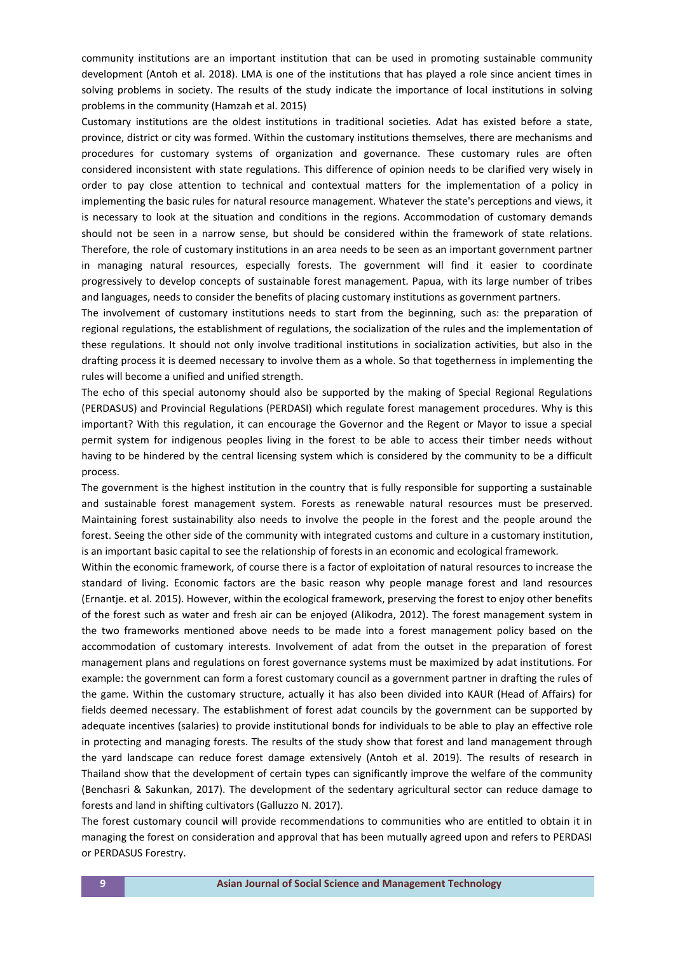community institutions are an important institution that can be used in promoting sustainable community development (Antoh et al. 2018). LMA is one of the institutions that has played a role since ancient times in solving problems in society. The results of the study indicate the importance of local institutions in solving problems in the community (Hamzah et al. 2015)

Customary institutions are the oldest institutions in traditional societies. Adat has existed before a state, province, district or city was formed. Within the customary institutions themselves, there are mechanisms and procedures for customary systems of organization and governance. These customary rules are often considered inconsistent with state regulations. This difference of opinion needs to be clarified very wisely in order to pay close attention to technical and contextual matters for the implementation of a policy in implementing the basic rules for natural resource management. Whatever the state's perceptions and views, it is necessary to look at the situation and conditions in the regions. Accommodation of customary demands should not be seen in a narrow sense, but should be considered within the framework of state relations. Therefore, the role of customary institutions in an area needs to be seen as an important government partner in managing natural resources, especially forests. The government will find it easier to coordinate progressively to develop concepts of sustainable forest management. Papua, with its large number of tribes and languages, needs to consider the benefits of placing customary institutions as government partners.

The involvement of customary institutions needs to start from the beginning, such as: the preparation of regional regulations, the establishment of regulations, the socialization of the rules and the implementation of these regulations. It should not only involve traditional institutions in socialization activities, but also in the drafting process it is deemed necessary to involve them as a whole. So that togetherness in implementing the rules will become a unified and unified strength.

The echo of this special autonomy should also be supported by the making of Special Regional Regulations (PERDASUS) and Provincial Regulations (PERDASI) which regulate forest management procedures. Why is this important? With this regulation, it can encourage the Governor and the Regent or Mayor to issue a special permit system for indigenous peoples living in the forest to be able to access their timber needs without having to be hindered by the central licensing system which is considered by the community to be a difficult process.

The government is the highest institution in the country that is fully responsible for supporting a sustainable and sustainable forest management system. Forests as renewable natural resources must be preserved. Maintaining forest sustainability also needs to involve the people in the forest and the people around the forest. Seeing the other side of the community with integrated customs and culture in a customary institution, is an important basic capital to see the relationship of forests in an economic and ecological framework.

Within the economic framework, of course there is a factor of exploitation of natural resources to increase the standard of living. Economic factors are the basic reason why people manage forest and land resources (Ernantje. et al. 2015). However, within the ecological framework, preserving the forest to enjoy other benefits of the forest such as water and fresh air can be enjoyed (Alikodra, 2012). The forest management system in the two frameworks mentioned above needs to be made into a forest management policy based on the accommodation of customary interests. Involvement of adat from the outset in the preparation of forest management plans and regulations on forest governance systems must be maximized by adat institutions. For example: the government can form a forest customary council as a government partner in drafting the rules of the game. Within the customary structure, actually it has also been divided into KAUR (Head of Affairs) for fields deemed necessary. The establishment of forest adat councils by the government can be supported by adequate incentives (salaries) to provide institutional bonds for individuals to be able to play an effective role in protecting and managing forests. The results of the study show that forest and land management through the yard landscape can reduce forest damage extensively (Antoh et al. 2019). The results of research in Thailand show that the development of certain types can significantly improve the welfare of the community (Benchasri & Sakunkan, 2017). The development of the sedentary agricultural sector can reduce damage to forests and land in shifting cultivators (Galluzzo N. 2017).

The forest customary council will provide recommendations to communities who are entitled to obtain it in managing the forest on consideration and approval that has been mutually agreed upon and refers to PERDASI or PERDASUS Forestry.